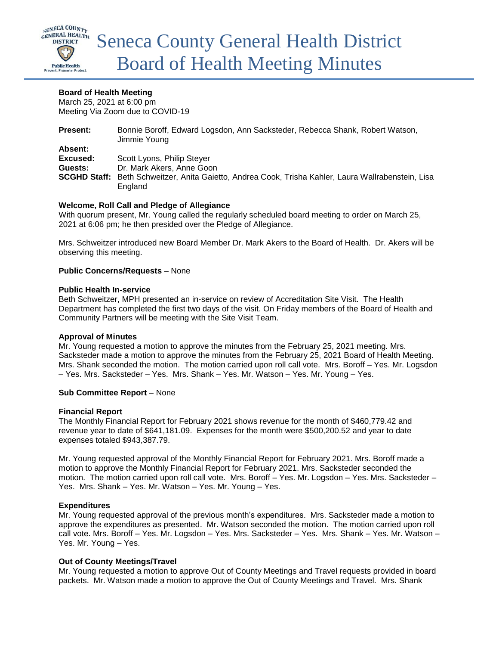

# **Board of Health Meeting**

March 25, 2021 at 6:00 pm Meeting Via Zoom due to COVID-19

| Bonnie Boroff, Edward Logsdon, Ann Sacksteder, Rebecca Shank, Robert Watson,<br>Jimmie Young                   |
|----------------------------------------------------------------------------------------------------------------|
|                                                                                                                |
| Scott Lyons, Philip Steyer                                                                                     |
| Dr. Mark Akers, Anne Goon                                                                                      |
| SCGHD Staff: Beth Schweitzer, Anita Gaietto, Andrea Cook, Trisha Kahler, Laura Wallrabenstein, Lisa<br>England |
|                                                                                                                |

# **Welcome, Roll Call and Pledge of Allegiance**

With quorum present, Mr. Young called the regularly scheduled board meeting to order on March 25, 2021 at 6:06 pm; he then presided over the Pledge of Allegiance.

Mrs. Schweitzer introduced new Board Member Dr. Mark Akers to the Board of Health. Dr. Akers will be observing this meeting.

## **Public Concerns/Requests** – None

### **Public Health In-service**

Beth Schweitzer, MPH presented an in-service on review of Accreditation Site Visit. The Health Department has completed the first two days of the visit. On Friday members of the Board of Health and Community Partners will be meeting with the Site Visit Team.

## **Approval of Minutes**

Mr. Young requested a motion to approve the minutes from the February 25, 2021 meeting. Mrs. Sacksteder made a motion to approve the minutes from the February 25, 2021 Board of Health Meeting. Mrs. Shank seconded the motion. The motion carried upon roll call vote. Mrs. Boroff – Yes. Mr. Logsdon – Yes. Mrs. Sacksteder – Yes. Mrs. Shank – Yes. Mr. Watson – Yes. Mr. Young – Yes.

## **Sub Committee Report** – None

#### **Financial Report**

The Monthly Financial Report for February 2021 shows revenue for the month of \$460,779.42 and revenue year to date of \$641,181.09. Expenses for the month were \$500,200.52 and year to date expenses totaled \$943,387.79.

Mr. Young requested approval of the Monthly Financial Report for February 2021. Mrs. Boroff made a motion to approve the Monthly Financial Report for February 2021. Mrs. Sacksteder seconded the motion. The motion carried upon roll call vote. Mrs. Boroff – Yes. Mr. Logsdon – Yes. Mrs. Sacksteder – Yes. Mrs. Shank – Yes. Mr. Watson – Yes. Mr. Young – Yes.

## **Expenditures**

Mr. Young requested approval of the previous month's expenditures. Mrs. Sacksteder made a motion to approve the expenditures as presented. Mr. Watson seconded the motion. The motion carried upon roll call vote. Mrs. Boroff – Yes. Mr. Logsdon – Yes. Mrs. Sacksteder – Yes. Mrs. Shank – Yes. Mr. Watson – Yes. Mr. Young – Yes.

## **Out of County Meetings/Travel**

Mr. Young requested a motion to approve Out of County Meetings and Travel requests provided in board packets. Mr. Watson made a motion to approve the Out of County Meetings and Travel. Mrs. Shank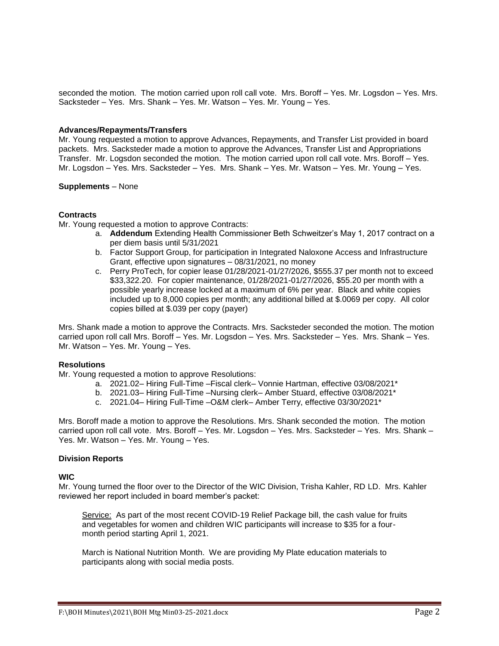seconded the motion. The motion carried upon roll call vote. Mrs. Boroff – Yes. Mr. Logsdon – Yes. Mrs. Sacksteder – Yes. Mrs. Shank – Yes. Mr. Watson – Yes. Mr. Young – Yes.

### **Advances/Repayments/Transfers**

Mr. Young requested a motion to approve Advances, Repayments, and Transfer List provided in board packets. Mrs. Sacksteder made a motion to approve the Advances, Transfer List and Appropriations Transfer. Mr. Logsdon seconded the motion. The motion carried upon roll call vote. Mrs. Boroff – Yes. Mr. Logsdon – Yes. Mrs. Sacksteder – Yes. Mrs. Shank – Yes. Mr. Watson – Yes. Mr. Young – Yes.

### **Supplements** – None

# **Contracts**

Mr. Young requested a motion to approve Contracts:

- a. **Addendum** Extending Health Commissioner Beth Schweitzer's May 1, 2017 contract on a per diem basis until 5/31/2021
- b. Factor Support Group, for participation in Integrated Naloxone Access and Infrastructure Grant, effective upon signatures – 08/31/2021, no money
- c. Perry ProTech, for copier lease 01/28/2021-01/27/2026, \$555.37 per month not to exceed \$33,322.20. For copier maintenance, 01/28/2021-01/27/2026, \$55.20 per month with a possible yearly increase locked at a maximum of 6% per year. Black and white copies included up to 8,000 copies per month; any additional billed at \$.0069 per copy. All color copies billed at \$.039 per copy (payer)

Mrs. Shank made a motion to approve the Contracts. Mrs. Sacksteder seconded the motion. The motion carried upon roll call Mrs. Boroff – Yes. Mr. Logsdon – Yes. Mrs. Sacksteder – Yes. Mrs. Shank – Yes. Mr. Watson – Yes. Mr. Young – Yes.

### **Resolutions**

Mr. Young requested a motion to approve Resolutions:

- a. 2021.02– Hiring Full-Time –Fiscal clerk– Vonnie Hartman, effective 03/08/2021\*
- b. 2021.03– Hiring Full-Time –Nursing clerk– Amber Stuard, effective 03/08/2021\*
- c. 2021.04– Hiring Full-Time –O&M clerk– Amber Terry, effective 03/30/2021\*

Mrs. Boroff made a motion to approve the Resolutions. Mrs. Shank seconded the motion. The motion carried upon roll call vote. Mrs. Boroff – Yes. Mr. Logsdon – Yes. Mrs. Sacksteder – Yes. Mrs. Shank – Yes. Mr. Watson – Yes. Mr. Young – Yes.

#### **Division Reports**

## **WIC**

Mr. Young turned the floor over to the Director of the WIC Division, Trisha Kahler, RD LD. Mrs. Kahler reviewed her report included in board member's packet:

Service: As part of the most recent COVID-19 Relief Package bill, the cash value for fruits and vegetables for women and children WIC participants will increase to \$35 for a fourmonth period starting April 1, 2021.

March is National Nutrition Month. We are providing My Plate education materials to participants along with social media posts.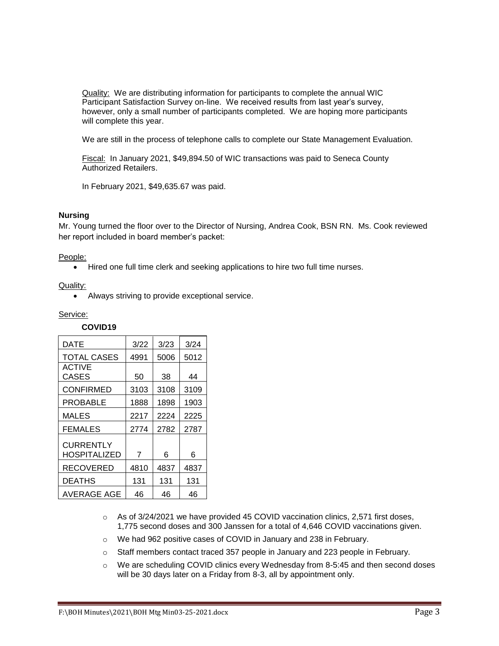Quality: We are distributing information for participants to complete the annual WIC Participant Satisfaction Survey on-line. We received results from last year's survey, however, only a small number of participants completed. We are hoping more participants will complete this year.

We are still in the process of telephone calls to complete our State Management Evaluation.

Fiscal: In January 2021, \$49,894.50 of WIC transactions was paid to Seneca County Authorized Retailers.

In February 2021, \$49,635.67 was paid.

## **Nursing**

Mr. Young turned the floor over to the Director of Nursing, Andrea Cook, BSN RN. Ms. Cook reviewed her report included in board member's packet:

### People:

• Hired one full time clerk and seeking applications to hire two full time nurses.

#### Quality:

Always striving to provide exceptional service.

### Service:

# **COVID19**

| DATE                             | 3/22 | 3/23 | 3/24 |
|----------------------------------|------|------|------|
| <b>TOTAL CASES</b>               | 4991 | 5006 | 5012 |
| <b>ACTIVE</b><br>CASES           | 50   | 38   | 44   |
| <b>CONFIRMED</b>                 | 3103 | 3108 | 3109 |
| PROBABLE                         | 1888 | 1898 | 1903 |
| MALES                            | 2217 | 2224 | 2225 |
| <b>FEMALES</b>                   | 2774 | 2782 | 2787 |
| CURRENTLY<br><b>HOSPITALIZED</b> | 7    | 6    | 6    |
| <b>RECOVERED</b>                 | 4810 | 4837 | 4837 |
| <b>DEATHS</b>                    | 131  | 131  | 131  |
| AVERAGE AGE                      | 46   | 46   | 46   |

- $\circ$  As of 3/24/2021 we have provided 45 COVID vaccination clinics, 2,571 first doses, 1,775 second doses and 300 Janssen for a total of 4,646 COVID vaccinations given.
- o We had 962 positive cases of COVID in January and 238 in February.
- o Staff members contact traced 357 people in January and 223 people in February.
- o We are scheduling COVID clinics every Wednesday from 8-5:45 and then second doses will be 30 days later on a Friday from 8-3, all by appointment only.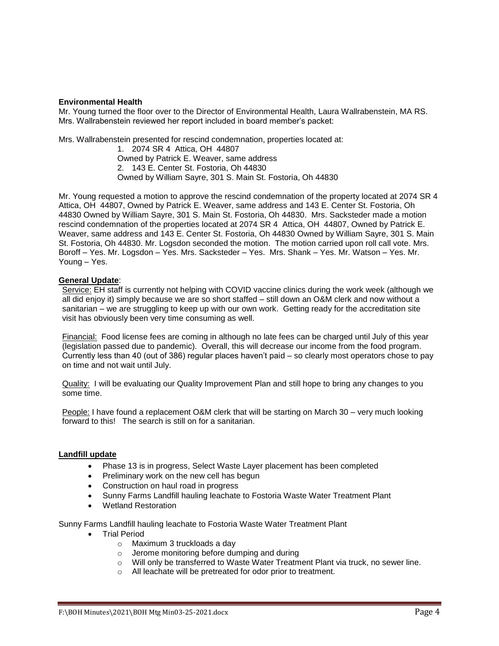## **Environmental Health**

Mr. Young turned the floor over to the Director of Environmental Health, Laura Wallrabenstein, MA RS. Mrs. Wallrabenstein reviewed her report included in board member's packet:

Mrs. Wallrabenstein presented for rescind condemnation, properties located at:

1. 2074 SR 4 Attica, OH 44807 Owned by Patrick E. Weaver, same address 2. 143 E. Center St. Fostoria, Oh 44830 Owned by William Sayre, 301 S. Main St. Fostoria, Oh 44830

Mr. Young requested a motion to approve the rescind condemnation of the property located at 2074 SR 4 Attica, OH 44807, Owned by Patrick E. Weaver, same address and 143 E. Center St. Fostoria, Oh 44830 Owned by William Sayre, 301 S. Main St. Fostoria, Oh 44830. Mrs. Sacksteder made a motion rescind condemnation of the properties located at 2074 SR 4 Attica, OH 44807, Owned by Patrick E. Weaver, same address and 143 E. Center St. Fostoria, Oh 44830 Owned by William Sayre, 301 S. Main St. Fostoria, Oh 44830. Mr. Logsdon seconded the motion. The motion carried upon roll call vote. Mrs. Boroff – Yes. Mr. Logsdon – Yes. Mrs. Sacksteder – Yes. Mrs. Shank – Yes. Mr. Watson – Yes. Mr. Young – Yes.

# **General Update**:

Service: EH staff is currently not helping with COVID vaccine clinics during the work week (although we all did enjoy it) simply because we are so short staffed – still down an O&M clerk and now without a sanitarian – we are struggling to keep up with our own work. Getting ready for the accreditation site visit has obviously been very time consuming as well.

Financial:Food license fees are coming in although no late fees can be charged until July of this year (legislation passed due to pandemic). Overall, this will decrease our income from the food program. Currently less than 40 (out of 386) regular places haven't paid – so clearly most operators chose to pay on time and not wait until July.

Quality:I will be evaluating our Quality Improvement Plan and still hope to bring any changes to you some time.

People: I have found a replacement O&M clerk that will be starting on March 30 – very much looking forward to this! The search is still on for a sanitarian.

## **Landfill update**

- Phase 13 is in progress, Select Waste Layer placement has been completed
- Preliminary work on the new cell has begun
- Construction on haul road in progress
- Sunny Farms Landfill hauling leachate to Fostoria Waste Water Treatment Plant
- Wetland Restoration

Sunny Farms Landfill hauling leachate to Fostoria Waste Water Treatment Plant

- **•** Trial Period
	- o Maximum 3 truckloads a day
	- o Jerome monitoring before dumping and during
	- $\circ$  Will only be transferred to Waste Water Treatment Plant via truck, no sewer line.
	- o All leachate will be pretreated for odor prior to treatment.